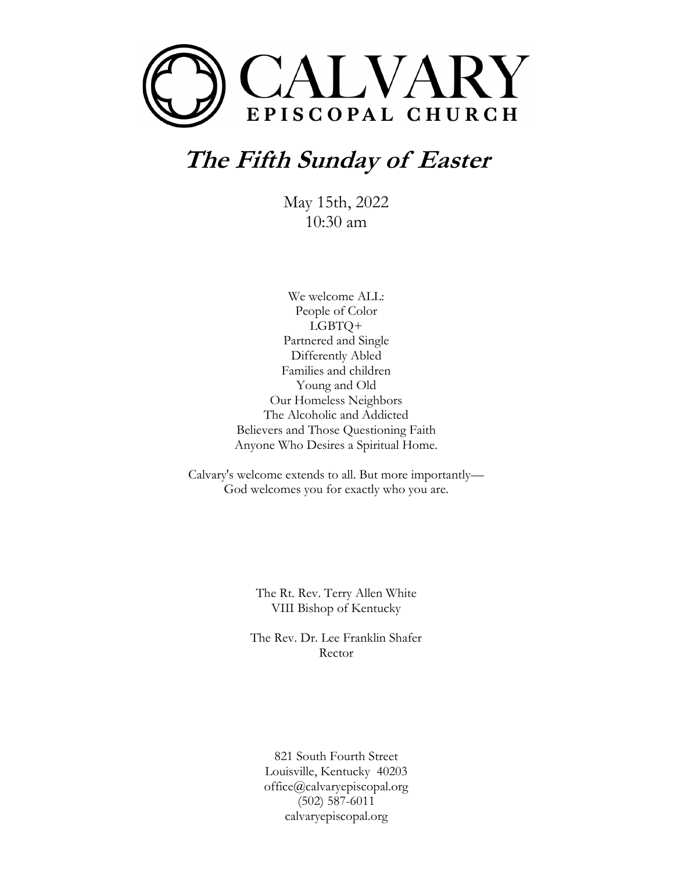

# **The Fifth Sunday of Easter**

May 15th, 2022 10:30 am

We welcome ALL: People of Color LGBTQ+ Partnered and Single Differently Abled Families and children Young and Old Our Homeless Neighbors The Alcoholic and Addicted Believers and Those Questioning Faith Anyone Who Desires a Spiritual Home.

Calvary's welcome extends to all. But more importantly— God welcomes you for exactly who you are.

> The Rt. Rev. Terry Allen White VIII Bishop of Kentucky

The Rev. Dr. Lee Franklin Shafer Rector

821 South Fourth Street Louisville, Kentucky 40203 office@calvaryepiscopal.org (502) 587-6011 calvaryepiscopal.org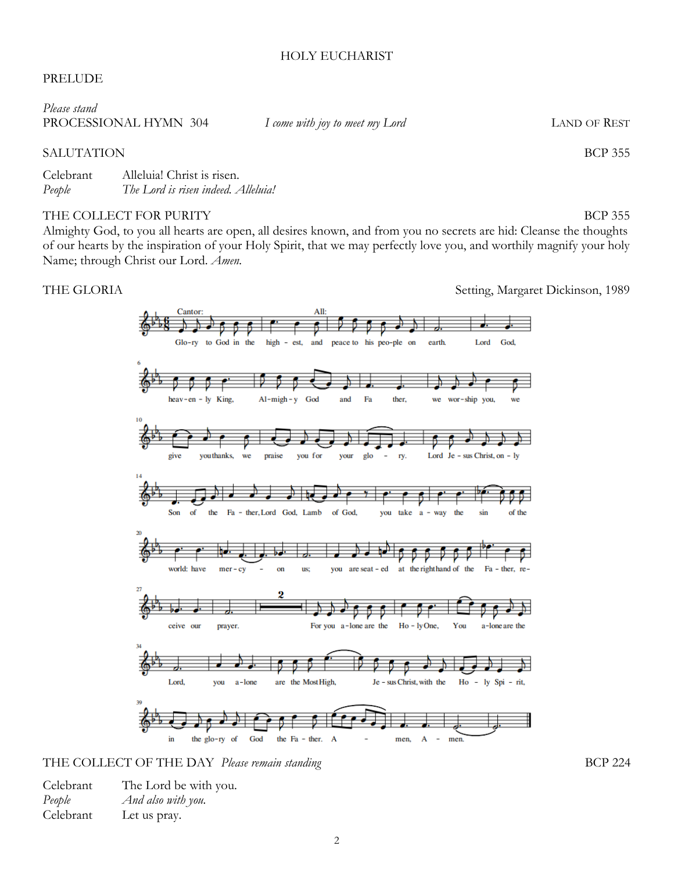### HOLY EUCHARIST

#### PRELUDE

*Please stand* PROCESSIONAL HYMN 304 *I come with joy to meet my Lord* LAND OF REST

#### SALUTATION BCP 355

Celebrant Alleluia! Christ is risen. *People The Lord is risen indeed. Alleluia!* 

#### THE COLLECT FOR PURITY SERVICES AND THE COLLECT FOR PURITY

Almighty God, to you all hearts are open, all desires known, and from you no secrets are hid: Cleanse the thoughts of our hearts by the inspiration of your Holy Spirit, that we may perfectly love you, and worthily magnify your holy Name; through Christ our Lord. *Amen.*

THE GLORIA Setting, Margaret Dickinson, 1989



THE COLLECT OF THE DAY *Please remain standing* BCP 224

| Celebrant | The Lord be with you. |
|-----------|-----------------------|
| People    | And also with you.    |
| Celebrant | Let us pray.          |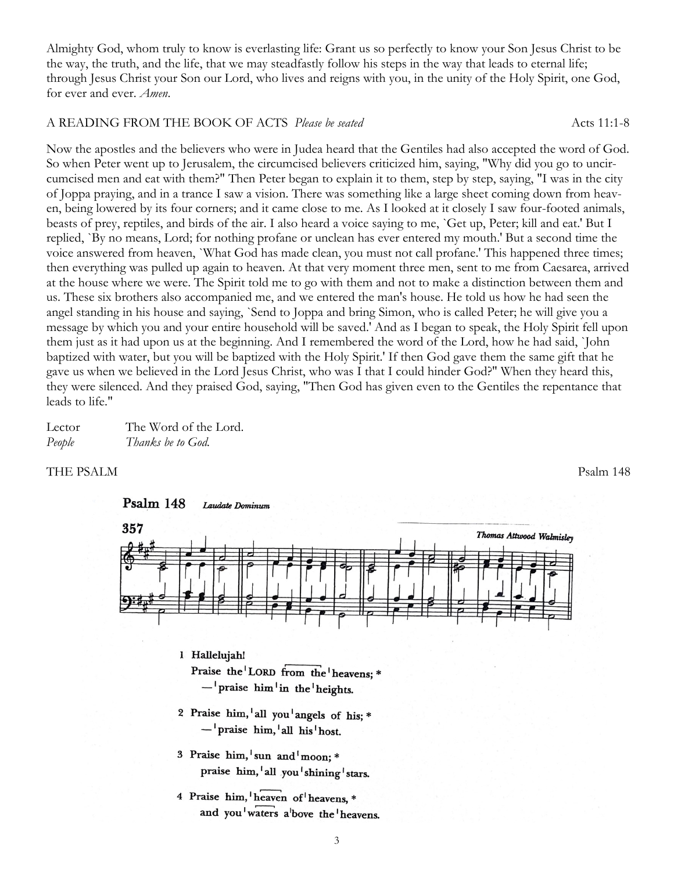Almighty God, whom truly to know is everlasting life: Grant us so perfectly to know your Son Jesus Christ to be the way, the truth, and the life, that we may steadfastly follow his steps in the way that leads to eternal life; through Jesus Christ your Son our Lord, who lives and reigns with you, in the unity of the Holy Spirit, one God, for ever and ever. *Amen*.

#### A READING FROM THE BOOK OF ACTS *Please be seated* Acts 11:1-8

Now the apostles and the believers who were in Judea heard that the Gentiles had also accepted the word of God. So when Peter went up to Jerusalem, the circumcised believers criticized him, saying, "Why did you go to uncircumcised men and eat with them?" Then Peter began to explain it to them, step by step, saying, "I was in the city of Joppa praying, and in a trance I saw a vision. There was something like a large sheet coming down from heaven, being lowered by its four corners; and it came close to me. As I looked at it closely I saw four-footed animals, beasts of prey, reptiles, and birds of the air. I also heard a voice saying to me, `Get up, Peter; kill and eat.' But I replied, `By no means, Lord; for nothing profane or unclean has ever entered my mouth.' But a second time the voice answered from heaven, `What God has made clean, you must not call profane.' This happened three times; then everything was pulled up again to heaven. At that very moment three men, sent to me from Caesarea, arrived at the house where we were. The Spirit told me to go with them and not to make a distinction between them and us. These six brothers also accompanied me, and we entered the man's house. He told us how he had seen the angel standing in his house and saying, `Send to Joppa and bring Simon, who is called Peter; he will give you a message by which you and your entire household will be saved.' And as I began to speak, the Holy Spirit fell upon them just as it had upon us at the beginning. And I remembered the word of the Lord, how he had said, `John baptized with water, but you will be baptized with the Holy Spirit.' If then God gave them the same gift that he gave us when we believed in the Lord Jesus Christ, who was I that I could hinder God?" When they heard this, they were silenced. And they praised God, saying, "Then God has given even to the Gentiles the repentance that leads to life."

| Lector | The Word of the Lord. |
|--------|-----------------------|
| People | Thanks be to God.     |

# THE PSALM Psalm 148

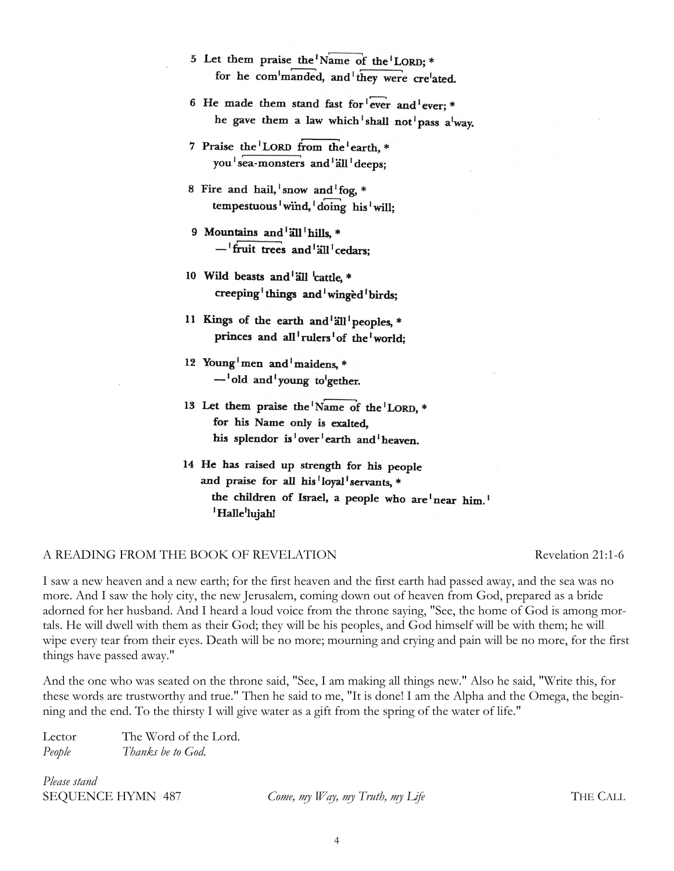- 5 Let them praise the Name of the LORD: \* for he com<sup>1</sup>manded, and<sup>1</sup>they were cre<sup>1</sup>ated.
- 6 He made them stand fast for ever and ever: \* he gave them a law which shall not pass a way.
- 7 Praise the LORD from the earth, \* you sea-monsters and 'all 'deeps;
- 8 Fire and hail, 'snow and 'fog, \* tempestuous wind, doing his will;
- 9 Mountains and 'all 'hills, \* - fruit trees and 'all cedars:
- 10 Wild beasts and all cattle. \* creeping things and winged birds;
- 11 Kings of the earth and 'all' peoples, \* princes and all'rulers' of the 'world;
- 12 Young men and maidens, \*  $-$  old and young to gether.
- 13 Let them praise the Name of the LORD, \* for his Name only is exalted, his splendor is over earth and heaven.
- 14 He has raised up strength for his people and praise for all his loyal servants, \* the children of Israel, a people who are near him. <sup>1</sup>Halle<sup>l</sup>lujah!

# A READING FROM THE BOOK OF REVELATION Revelation 21:1-6

I saw a new heaven and a new earth; for the first heaven and the first earth had passed away, and the sea was no more. And I saw the holy city, the new Jerusalem, coming down out of heaven from God, prepared as a bride adorned for her husband. And I heard a loud voice from the throne saying, "See, the home of God is among mortals. He will dwell with them as their God; they will be his peoples, and God himself will be with them; he will wipe every tear from their eyes. Death will be no more; mourning and crying and pain will be no more, for the first things have passed away."

And the one who was seated on the throne said, "See, I am making all things new." Also he said, "Write this, for these words are trustworthy and true." Then he said to me, "It is done! I am the Alpha and the Omega, the beginning and the end. To the thirsty I will give water as a gift from the spring of the water of life."

Lector The Word of the Lord. *People Thanks be to God.*

*Please stand*

SEQUENCE HYMN 487 *Come, my Way, my Truth, my Life* THE CALL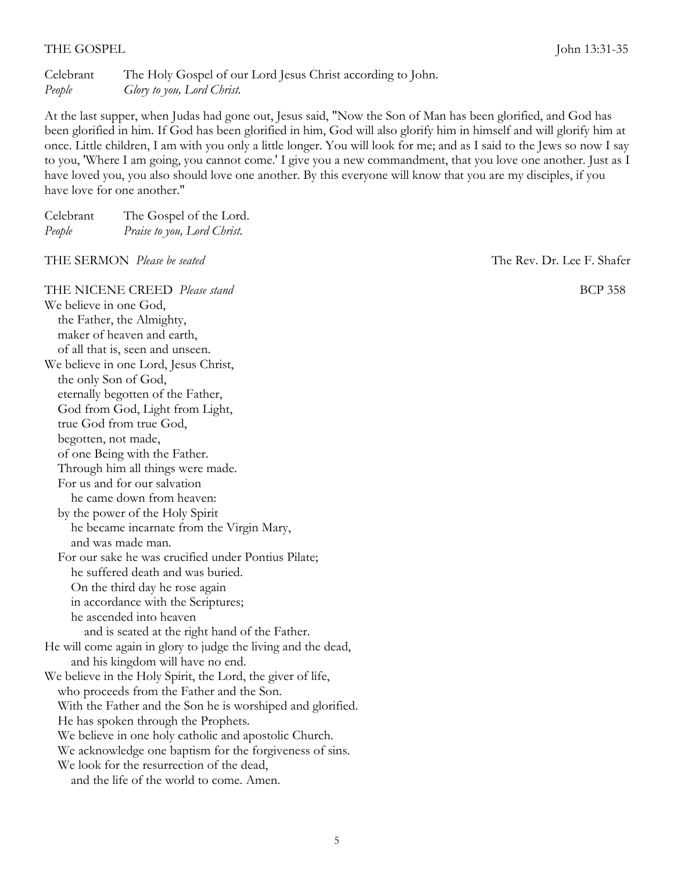### THE GOSPEL John 13:31-35

Celebrant The Holy Gospel of our Lord Jesus Christ according to John. *People Glory to you, Lord Christ.*

At the last supper, when Judas had gone out, Jesus said, "Now the Son of Man has been glorified, and God has been glorified in him. If God has been glorified in him, God will also glorify him in himself and will glorify him at once. Little children, I am with you only a little longer. You will look for me; and as I said to the Jews so now I say to you, 'Where I am going, you cannot come.' I give you a new commandment, that you love one another. Just as I have loved you, you also should love one another. By this everyone will know that you are my disciples, if you have love for one another."

| Celebrant | The Gospel of the Lord.     |
|-----------|-----------------------------|
| People    | Praise to you, Lord Christ. |

### THE SERMON *Please be seated* The Rev. Dr. Lee F. Shafer

THE NICENE CREED *Please stand* BCP 358 We believe in one God, the Father, the Almighty, maker of heaven and earth, of all that is, seen and unseen. We believe in one Lord, Jesus Christ, the only Son of God, eternally begotten of the Father, God from God, Light from Light, true God from true God, begotten, not made, of one Being with the Father. Through him all things were made. For us and for our salvation he came down from heaven: by the power of the Holy Spirit he became incarnate from the Virgin Mary, and was made man. For our sake he was crucified under Pontius Pilate; he suffered death and was buried. On the third day he rose again in accordance with the Scriptures; he ascended into heaven and is seated at the right hand of the Father. He will come again in glory to judge the living and the dead, and his kingdom will have no end. We believe in the Holy Spirit, the Lord, the giver of life, who proceeds from the Father and the Son. With the Father and the Son he is worshiped and glorified. He has spoken through the Prophets. We believe in one holy catholic and apostolic Church. We acknowledge one baptism for the forgiveness of sins. We look for the resurrection of the dead, and the life of the world to come. Amen.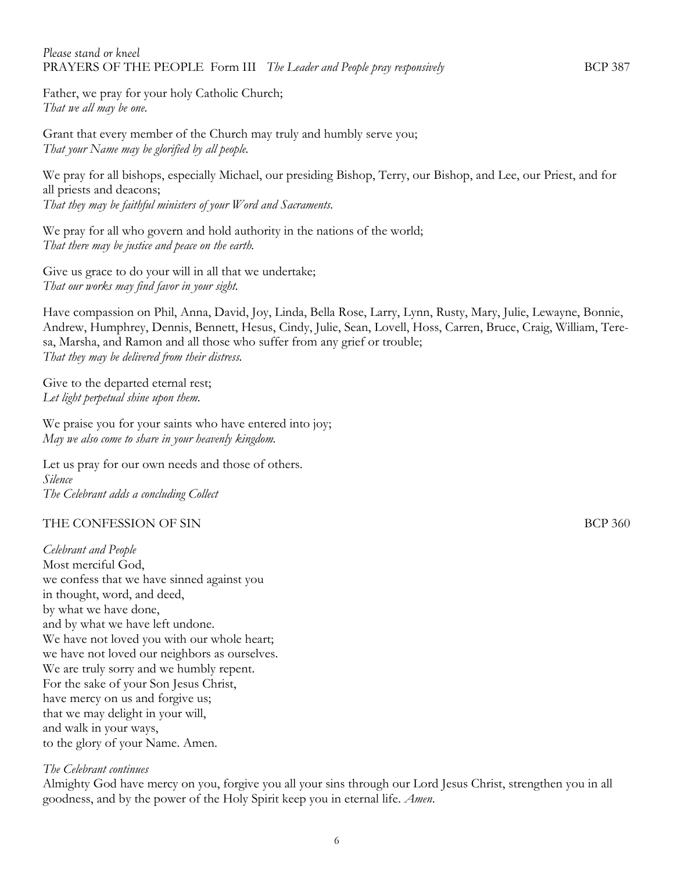# *Please stand or kneel* PRAYERS OF THE PEOPLE Form III *The Leader and People pray responsively* BCP 387

Father, we pray for your holy Catholic Church; *That we all may be one.* 

Grant that every member of the Church may truly and humbly serve you; *That your Name may be glorified by all people.* 

We pray for all bishops, especially Michael, our presiding Bishop, Terry, our Bishop, and Lee, our Priest, and for all priests and deacons; *That they may be faithful ministers of your Word and Sacraments.* 

We pray for all who govern and hold authority in the nations of the world; *That there may be justice and peace on the earth.* 

Give us grace to do your will in all that we undertake; *That our works may find favor in your sight.* 

Have compassion on Phil, Anna, David, Joy, Linda, Bella Rose, Larry, Lynn, Rusty, Mary, Julie, Lewayne, Bonnie, Andrew, Humphrey, Dennis, Bennett, Hesus, Cindy, Julie, Sean, Lovell, Hoss, Carren, Bruce, Craig, William, Teresa, Marsha, and Ramon and all those who suffer from any grief or trouble; *That they may be delivered from their distress.* 

Give to the departed eternal rest; *Let light perpetual shine upon them.* 

We praise you for your saints who have entered into joy; *May we also come to share in your heavenly kingdom.* 

Let us pray for our own needs and those of others. *Silence The Celebrant adds a concluding Collect* 

# THE CONFESSION OF SIN BCP 360

*Celebrant and People* Most merciful God, we confess that we have sinned against you in thought, word, and deed, by what we have done, and by what we have left undone. We have not loved you with our whole heart; we have not loved our neighbors as ourselves. We are truly sorry and we humbly repent. For the sake of your Son Jesus Christ, have mercy on us and forgive us; that we may delight in your will, and walk in your ways, to the glory of your Name. Amen.

# *The Celebrant continues*

Almighty God have mercy on you, forgive you all your sins through our Lord Jesus Christ, strengthen you in all goodness, and by the power of the Holy Spirit keep you in eternal life. *Amen*.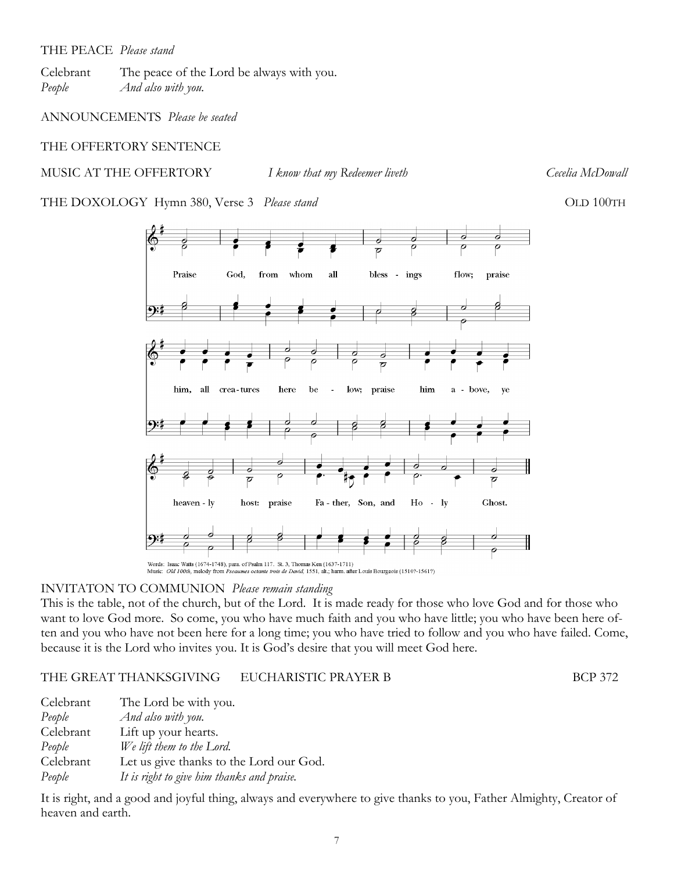#### THE PEACE *Please stand*

Celebrant The peace of the Lord be always with you. *People And also with you.*

ANNOUNCEMENTS *Please be seated*

### THE OFFERTORY SENTENCE

MUSIC AT THE OFFERTORY *I know that my Redeemer liveth Cecelia McDowall*

THE DOXOLOGY Hymn 380, Verse 3 *Please stand* CLD 100TH



Music: Old 100th, melody from Pseaumes octante trois de David, 1551, alt.; harm. after Louis Bourgeois (1510?-1561?)

#### INVITATON TO COMMUNION *Please remain standing*

This is the table, not of the church, but of the Lord. It is made ready for those who love God and for those who want to love God more. So come, you who have much faith and you who have little; you who have been here often and you who have not been here for a long time; you who have tried to follow and you who have failed. Come, because it is the Lord who invites you. It is God's desire that you will meet God here.

### THE GREAT THANKSGIVING EUCHARISTIC PRAYER B BCP 372

| The Lord be with you.                      |
|--------------------------------------------|
| And also with you.                         |
| Lift up your hearts.                       |
| We lift them to the Lord.                  |
| Let us give thanks to the Lord our God.    |
| It is right to give him thanks and praise. |
|                                            |

It is right, and a good and joyful thing, always and everywhere to give thanks to you, Father Almighty, Creator of heaven and earth.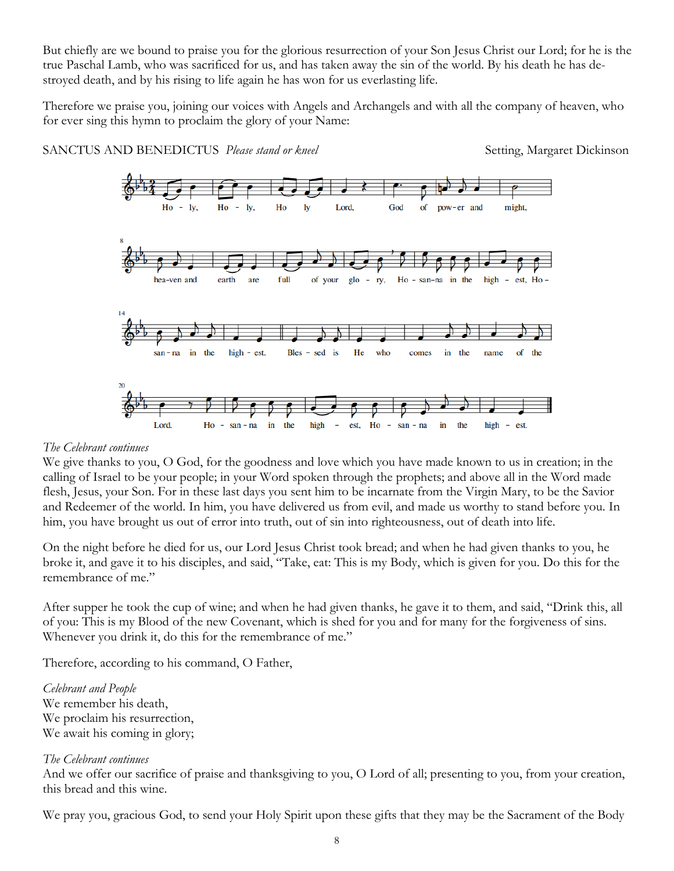But chiefly are we bound to praise you for the glorious resurrection of your Son Jesus Christ our Lord; for he is the true Paschal Lamb, who was sacrificed for us, and has taken away the sin of the world. By his death he has destroyed death, and by his rising to life again he has won for us everlasting life.

Therefore we praise you, joining our voices with Angels and Archangels and with all the company of heaven, who for ever sing this hymn to proclaim the glory of your Name:

SANCTUS AND BENEDICTUS *Please stand or kneel* Setting, Margaret Dickinson



# *The Celebrant continues*

We give thanks to you, O God, for the goodness and love which you have made known to us in creation; in the calling of Israel to be your people; in your Word spoken through the prophets; and above all in the Word made flesh, Jesus, your Son. For in these last days you sent him to be incarnate from the Virgin Mary, to be the Savior and Redeemer of the world. In him, you have delivered us from evil, and made us worthy to stand before you. In him, you have brought us out of error into truth, out of sin into righteousness, out of death into life.

On the night before he died for us, our Lord Jesus Christ took bread; and when he had given thanks to you, he broke it, and gave it to his disciples, and said, "Take, eat: This is my Body, which is given for you. Do this for the remembrance of me."

After supper he took the cup of wine; and when he had given thanks, he gave it to them, and said, "Drink this, all of you: This is my Blood of the new Covenant, which is shed for you and for many for the forgiveness of sins. Whenever you drink it, do this for the remembrance of me."

Therefore, according to his command, O Father,

*Celebrant and People* We remember his death, We proclaim his resurrection, We await his coming in glory;

### *The Celebrant continues*

And we offer our sacrifice of praise and thanksgiving to you, O Lord of all; presenting to you, from your creation, this bread and this wine.

We pray you, gracious God, to send your Holy Spirit upon these gifts that they may be the Sacrament of the Body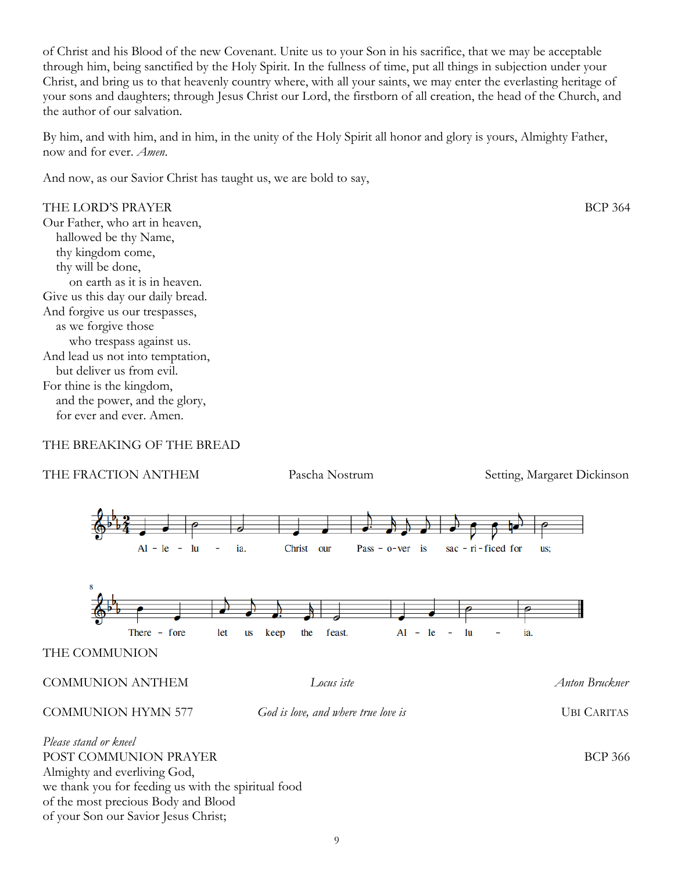of Christ and his Blood of the new Covenant. Unite us to your Son in his sacrifice, that we may be acceptable through him, being sanctified by the Holy Spirit. In the fullness of time, put all things in subjection under your Christ, and bring us to that heavenly country where, with all your saints, we may enter the everlasting heritage of your sons and daughters; through Jesus Christ our Lord, the firstborn of all creation, the head of the Church, and the author of our salvation.

By him, and with him, and in him, in the unity of the Holy Spirit all honor and glory is yours, Almighty Father, now and for ever. *Amen*.

And now, as our Savior Christ has taught us, we are bold to say,

# THE LORD'S PRAYER BCP 364

Our Father, who art in heaven, hallowed be thy Name, thy kingdom come, thy will be done, on earth as it is in heaven. Give us this day our daily bread. And forgive us our trespasses, as we forgive those who trespass against us. And lead us not into temptation, but deliver us from evil. For thine is the kingdom, and the power, and the glory, for ever and ever. Amen.

# THE BREAKING OF THE BREAD

THE FRACTION ANTHEM Pascha Nostrum Setting, Margaret Dickinson  $Al - le - lu$ **Christ** sac -  $ri$ -ficed for ia. our Pass -  $o$ -ver  $\frac{1}{1}$ us: There - fore  $Al - le$ let keep the feast.  $\sim$ lu ia. **us** THE COMMUNION COMMUNION ANTHEM *Locus iste Anton Bruckner*  COMMUNION HYMN 577 *God is love, and where true love is* UBI CARITAS *Please stand or kneel*

POST COMMUNION PRAYER BCP 366 Almighty and everliving God, we thank you for feeding us with the spiritual food of the most precious Body and Blood of your Son our Savior Jesus Christ;

9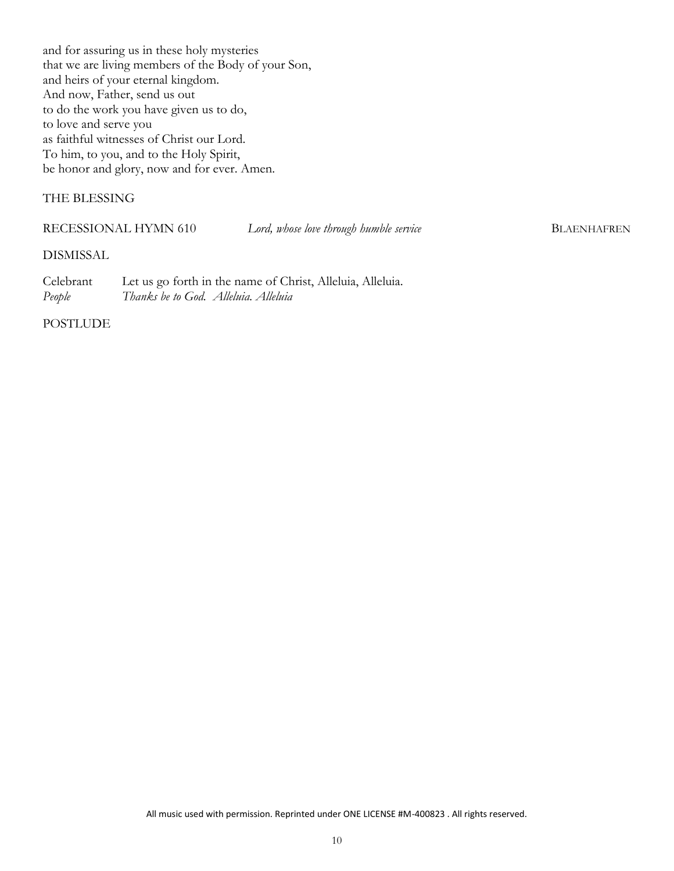and for assuring us in these holy mysteries that we are living members of the Body of your Son, and heirs of your eternal kingdom. And now, Father, send us out to do the work you have given us to do, to love and serve you as faithful witnesses of Christ our Lord. To him, to you, and to the Holy Spirit, be honor and glory, now and for ever. Amen.

### THE BLESSING

### RECESSIONAL HYMN 610 *Lord, whose love through humble service* BLAENHAFREN

#### DISMISSAL

Celebrant Let us go forth in the name of Christ, Alleluia, Alleluia. *People Thanks be to God. Alleluia. Alleluia*

#### POSTLUDE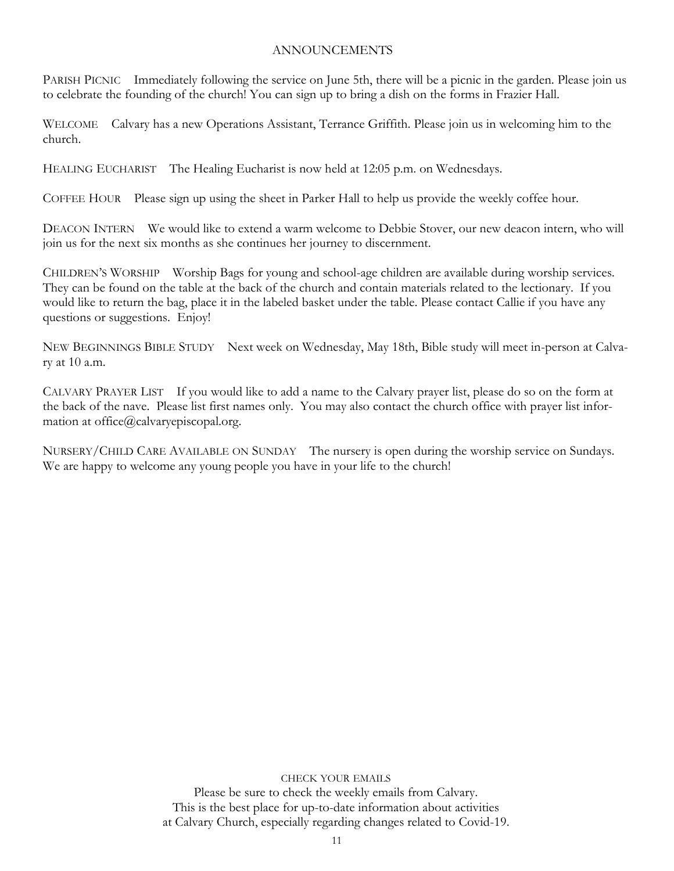### ANNOUNCEMENTS

PARISH PICNIC Immediately following the service on June 5th, there will be a picnic in the garden. Please join us to celebrate the founding of the church! You can sign up to bring a dish on the forms in Frazier Hall.

WELCOME Calvary has a new Operations Assistant, Terrance Griffith. Please join us in welcoming him to the church.

HEALING EUCHARIST The Healing Eucharist is now held at 12:05 p.m. on Wednesdays.

COFFEE HOUR Please sign up using the sheet in Parker Hall to help us provide the weekly coffee hour.

DEACON INTERN We would like to extend a warm welcome to Debbie Stover, our new deacon intern, who will join us for the next six months as she continues her journey to discernment.

CHILDREN'S WORSHIP Worship Bags for young and school-age children are available during worship services. They can be found on the table at the back of the church and contain materials related to the lectionary. If you would like to return the bag, place it in the labeled basket under the table. Please contact Callie if you have any questions or suggestions. Enjoy!

NEW BEGINNINGS BIBLE STUDY Next week on Wednesday, May 18th, Bible study will meet in-person at Calvary at 10 a.m.

CALVARY PRAYER LIST If you would like to add a name to the Calvary prayer list, please do so on the form at the back of the nave. Please list first names only. You may also contact the church office with prayer list information at office@calvaryepiscopal.org.

NURSERY/CHILD CARE AVAILABLE ON SUNDAY The nursery is open during the worship service on Sundays. We are happy to welcome any young people you have in your life to the church!

CHECK YOUR EMAILS

Please be sure to check the weekly emails from Calvary. This is the best place for up-to-date information about activities at Calvary Church, especially regarding changes related to Covid-19.